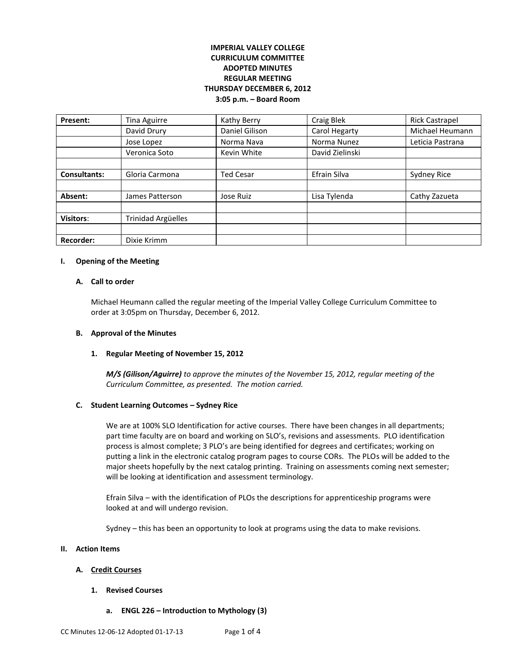# **IMPERIAL VALLEY COLLEGE CURRICULUM COMMITTEE ADOPTED MINUTES REGULAR MEETING THURSDAY DECEMBER 6, 2012 3:05 p.m. – Board Room**

| <b>Present:</b>     | Tina Aguirre       | Kathy Berry      | <b>Craig Blek</b> | <b>Rick Castrapel</b> |
|---------------------|--------------------|------------------|-------------------|-----------------------|
|                     | David Drury        | Daniel Gilison   | Carol Hegarty     | Michael Heumann       |
|                     | Jose Lopez         | Norma Nava       | Norma Nunez       | Leticia Pastrana      |
|                     | Veronica Soto      | Kevin White      | David Zielinski   |                       |
|                     |                    |                  |                   |                       |
| <b>Consultants:</b> | Gloria Carmona     | <b>Ted Cesar</b> | Efrain Silva      | Sydney Rice           |
|                     |                    |                  |                   |                       |
| Absent:             | James Patterson    | Jose Ruiz        | Lisa Tylenda      | Cathy Zazueta         |
|                     |                    |                  |                   |                       |
| <b>Visitors:</b>    | Trinidad Argüelles |                  |                   |                       |
|                     |                    |                  |                   |                       |
| <b>Recorder:</b>    | Dixie Krimm        |                  |                   |                       |

#### **I. Opening of the Meeting**

#### **A. Call to order**

Michael Heumann called the regular meeting of the Imperial Valley College Curriculum Committee to order at 3:05pm on Thursday, December 6, 2012.

## **B. Approval of the Minutes**

## **1. Regular Meeting of November 15, 2012**

*M/S (Gilison/Aguirre) to approve the minutes of the November 15, 2012, regular meeting of the Curriculum Committee, as presented. The motion carried.* 

## **C. Student Learning Outcomes – Sydney Rice**

We are at 100% SLO Identification for active courses. There have been changes in all departments; part time faculty are on board and working on SLO's, revisions and assessments. PLO identification process is almost complete; 3 PLO's are being identified for degrees and certificates; working on putting a link in the electronic catalog program pages to course CORs. The PLOs will be added to the major sheets hopefully by the next catalog printing. Training on assessments coming next semester; will be looking at identification and assessment terminology.

Efrain Silva – with the identification of PLOs the descriptions for apprenticeship programs were looked at and will undergo revision.

Sydney – this has been an opportunity to look at programs using the data to make revisions.

### **II. Action Items**

## **A. Credit Courses**

- **1. Revised Courses**
	- **a. ENGL 226 – Introduction to Mythology (3)**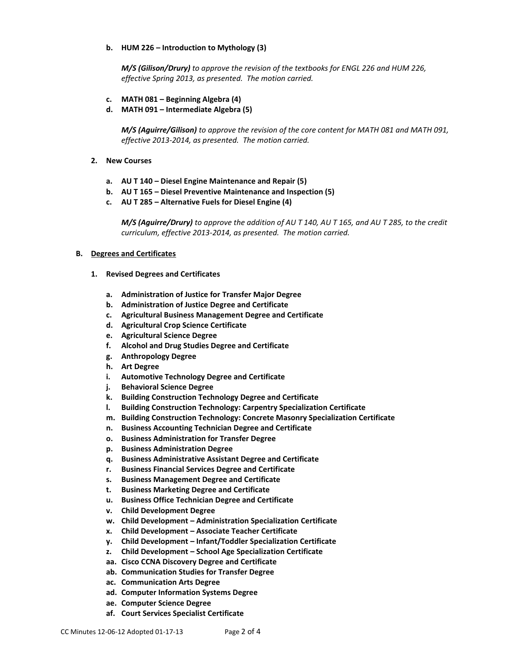## **b. HUM 226 – Introduction to Mythology (3)**

*M/S (Gilison/Drury) to approve the revision of the textbooks for ENGL 226 and HUM 226, effective Spring 2013, as presented. The motion carried.*

- **c. MATH 081 – Beginning Algebra (4)**
- **d. MATH 091 – Intermediate Algebra (5)**

*M/S (Aguirre/Gilison) to approve the revision of the core content for MATH 081 and MATH 091, effective 2013-2014, as presented. The motion carried.*

- **2. New Courses**
	- **a. AU T 140 – Diesel Engine Maintenance and Repair (5)**
	- **b. AU T 165 – Diesel Preventive Maintenance and Inspection (5)**
	- **c. AU T 285 – Alternative Fuels for Diesel Engine (4)**

*M/S (Aguirre/Drury) to approve the addition of AU T 140, AU T 165, and AU T 285, to the credit curriculum, effective 2013-2014, as presented. The motion carried.*

## **B. Degrees and Certificates**

- **1. Revised Degrees and Certificates**
	- **a. Administration of Justice for Transfer Major Degree**
	- **b. Administration of Justice Degree and Certificate**
	- **c. Agricultural Business Management Degree and Certificate**
	- **d. Agricultural Crop Science Certificate**
	- **e. Agricultural Science Degree**
	- **f. Alcohol and Drug Studies Degree and Certificate**
	- **g. Anthropology Degree**
	- **h. Art Degree**
	- **i. Automotive Technology Degree and Certificate**
	- **j. Behavioral Science Degree**
	- **k. Building Construction Technology Degree and Certificate**
	- **l. Building Construction Technology: Carpentry Specialization Certificate**
	- **m. Building Construction Technology: Concrete Masonry Specialization Certificate**
	- **n. Business Accounting Technician Degree and Certificate**
	- **o. Business Administration for Transfer Degree**
	- **p. Business Administration Degree**
	- **q. Business Administrative Assistant Degree and Certificate**
	- **r. Business Financial Services Degree and Certificate**
	- **s. Business Management Degree and Certificate**
	- **t. Business Marketing Degree and Certificate**
	- **u. Business Office Technician Degree and Certificate**
	- **v. Child Development Degree**
	- **w. Child Development – Administration Specialization Certificate**
	- **x. Child Development – Associate Teacher Certificate**
	- **y. Child Development – Infant/Toddler Specialization Certificate**
	- **z. Child Development – School Age Specialization Certificate**
	- **aa. Cisco CCNA Discovery Degree and Certificate**
	- **ab. Communication Studies for Transfer Degree**
	- **ac. Communication Arts Degree**
	- **ad. Computer Information Systems Degree**
	- **ae. Computer Science Degree**
	- **af. Court Services Specialist Certificate**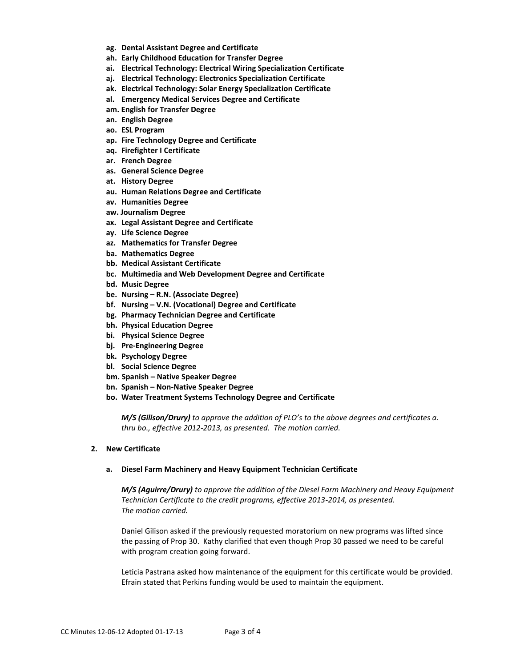- **ag. Dental Assistant Degree and Certificate**
- **ah. Early Childhood Education for Transfer Degree**
- **ai. Electrical Technology: Electrical Wiring Specialization Certificate**
- **aj. Electrical Technology: Electronics Specialization Certificate**
- **ak. Electrical Technology: Solar Energy Specialization Certificate**
- **al. Emergency Medical Services Degree and Certificate**
- **am. English for Transfer Degree**
- **an. English Degree**
- **ao. ESL Program**
- **ap. Fire Technology Degree and Certificate**
- **aq. Firefighter I Certificate**
- **ar. French Degree**
- **as. General Science Degree**
- **at. History Degree**
- **au. Human Relations Degree and Certificate**
- **av. Humanities Degree**
- **aw. Journalism Degree**
- **ax. Legal Assistant Degree and Certificate**
- **ay. Life Science Degree**
- **az. Mathematics for Transfer Degree**
- **ba. Mathematics Degree**
- **bb. Medical Assistant Certificate**
- **bc. Multimedia and Web Development Degree and Certificate**
- **bd. Music Degree**
- **be. Nursing – R.N. (Associate Degree)**
- **bf. Nursing – V.N. (Vocational) Degree and Certificate**
- **bg. Pharmacy Technician Degree and Certificate**
- **bh. Physical Education Degree**
- **bi. Physical Science Degree**
- **bj. Pre-Engineering Degree**
- **bk. Psychology Degree**
- **bl. Social Science Degree**
- **bm. Spanish – Native Speaker Degree**
- **bn. Spanish – Non-Native Speaker Degree**
- **bo. Water Treatment Systems Technology Degree and Certificate**

*M/S (Gilison/Drury) to approve the addition of PLO's to the above degrees and certificates a. thru bo., effective 2012-2013, as presented. The motion carried.*

## **2. New Certificate**

#### **a. Diesel Farm Machinery and Heavy Equipment Technician Certificate**

*M/S (Aguirre/Drury) to approve the addition of the Diesel Farm Machinery and Heavy Equipment Technician Certificate to the credit programs, effective 2013-2014, as presented. The motion carried.*

Daniel Gilison asked if the previously requested moratorium on new programs was lifted since the passing of Prop 30. Kathy clarified that even though Prop 30 passed we need to be careful with program creation going forward.

Leticia Pastrana asked how maintenance of the equipment for this certificate would be provided. Efrain stated that Perkins funding would be used to maintain the equipment.